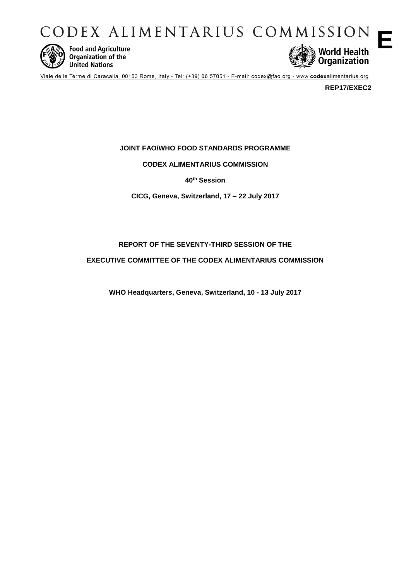CODEX ALIMENTARIUS COMMISSION



**Food and Agriculture** Organization of the **United Nations** 



Viale delle Terme di Caracalla, 00153 Rome, Italy - Tel: (+39) 06 57051 - E-mail: codex@fao.org - www.codexalimentarius.org

**REP17/EXEC2**

**E**

**JOINT FAO/WHO FOOD STANDARDS PROGRAMME**

**CODEX ALIMENTARIUS COMMISSION**

**40th Session**

**CICG, Geneva, Switzerland, 17 – 22 July 2017**

# **REPORT OF THE SEVENTY-THIRD SESSION OF THE**

**EXECUTIVE COMMITTEE OF THE CODEX ALIMENTARIUS COMMISSION**

**WHO Headquarters, Geneva, Switzerland, 10 - 13 July 2017**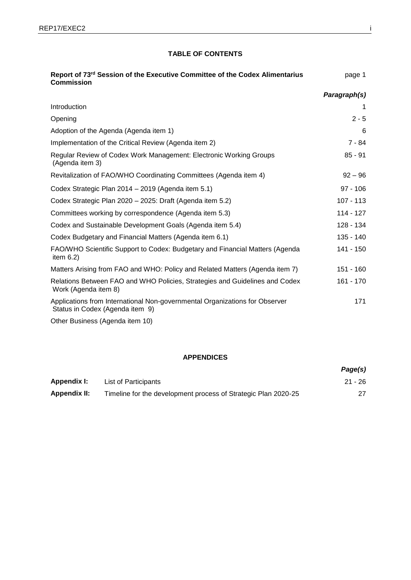# **TABLE OF CONTENTS**

| Report of 73rd Session of the Executive Committee of the Codex Alimentarius<br><b>Commission</b>               | page 1       |
|----------------------------------------------------------------------------------------------------------------|--------------|
|                                                                                                                | Paragraph(s) |
| Introduction                                                                                                   |              |
| Opening                                                                                                        | $2 - 5$      |
| Adoption of the Agenda (Agenda item 1)                                                                         | 6            |
| Implementation of the Critical Review (Agenda item 2)                                                          | $7 - 84$     |
| Regular Review of Codex Work Management: Electronic Working Groups<br>(Agenda item 3)                          | $85 - 91$    |
| Revitalization of FAO/WHO Coordinating Committees (Agenda item 4)                                              | $92 - 96$    |
| Codex Strategic Plan 2014 - 2019 (Agenda item 5.1)                                                             | $97 - 106$   |
| Codex Strategic Plan 2020 - 2025: Draft (Agenda item 5.2)                                                      | 107 - 113    |
| Committees working by correspondence (Agenda item 5.3)                                                         | 114 - 127    |
| Codex and Sustainable Development Goals (Agenda item 5.4)                                                      | 128 - 134    |
| Codex Budgetary and Financial Matters (Agenda item 6.1)                                                        | 135 - 140    |
| FAO/WHO Scientific Support to Codex: Budgetary and Financial Matters (Agenda<br>item $6.2$ )                   | 141 - 150    |
| Matters Arising from FAO and WHO: Policy and Related Matters (Agenda item 7)                                   | 151 - 160    |
| Relations Between FAO and WHO Policies, Strategies and Guidelines and Codex<br>Work (Agenda item 8)            | 161 - 170    |
| Applications from International Non-governmental Organizations for Observer<br>Status in Codex (Agenda item 9) | 171          |
| Other Business (Agenda item 10)                                                                                |              |

# **APPENDICES**

|                     |                                                                | Page(s) |
|---------------------|----------------------------------------------------------------|---------|
| Appendix I:         | List of Participants                                           | 21 - 26 |
| <b>Appendix II:</b> | Timeline for the development process of Strategic Plan 2020-25 |         |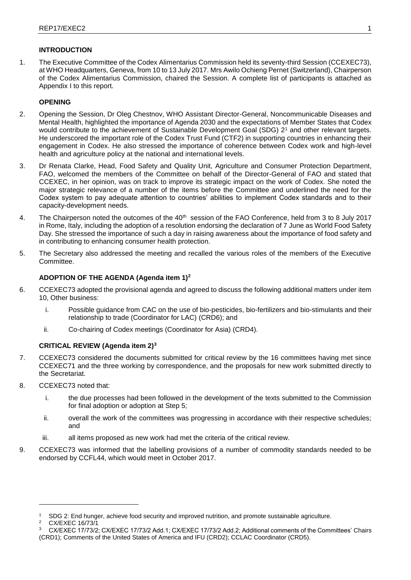## **INTRODUCTION**

1. The Executive Committee of the Codex Alimentarius Commission held its seventy-third Session (CCEXEC73), at WHO Headquarters, Geneva, from 10 to 13 July 2017. Mrs Awilo Ochieng Pernet (Switzerland), Chairperson of the Codex Alimentarius Commission, chaired the Session. A complete list of participants is attached as Appendix I to this report.

# **OPENING**

- 2. Opening the Session, Dr Oleg Chestnov, WHO Assistant Director-General, Noncommunicable Diseases and Mental Health, highlighted the importance of Agenda 2030 and the expectations of Member States that Codex would contribute to the achievement of Sustainable Development Goal (SDG) 2<sup>1</sup> and other relevant targets. He underscored the important role of the Codex Trust Fund (CTF2) in supporting countries in enhancing their engagement in Codex. He also stressed the importance of coherence between Codex work and high-level health and agriculture policy at the national and international levels.
- 3. Dr Renata Clarke, Head, Food Safety and Quality Unit, Agriculture and Consumer Protection Department, FAO, welcomed the members of the Committee on behalf of the Director-General of FAO and stated that CCEXEC, in her opinion, was on track to improve its strategic impact on the work of Codex. She noted the major strategic relevance of a number of the items before the Committee and underlined the need for the Codex system to pay adequate attention to countries' abilities to implement Codex standards and to their capacity-development needs.
- 4. The Chairperson noted the outcomes of the 40<sup>th</sup> session of the FAO Conference, held from 3 to 8 July 2017 in Rome, Italy, including the adoption of a resolution endorsing the declaration of 7 June as World Food Safety Day. She stressed the importance of such a day in raising awareness about the importance of food safety and in contributing to enhancing consumer health protection.
- 5. The Secretary also addressed the meeting and recalled the various roles of the members of the Executive Committee.

## **ADOPTION OF THE AGENDA (Agenda item 1)<sup>2</sup>**

- 6. CCEXEC73 adopted the provisional agenda and agreed to discuss the following additional matters under item 10, Other business:
	- i. Possible guidance from CAC on the use of bio-pesticides, bio-fertilizers and bio-stimulants and their relationship to trade (Coordinator for LAC) (CRD6); and
	- ii. Co-chairing of Codex meetings (Coordinator for Asia) (CRD4).

## **CRITICAL REVIEW (Agenda item 2)<sup>3</sup>**

- 7. CCEXEC73 considered the documents submitted for critical review by the 16 committees having met since CCEXEC71 and the three working by correspondence, and the proposals for new work submitted directly to the Secretariat.
- 8. CCEXEC73 noted that:
	- i. the due processes had been followed in the development of the texts submitted to the Commission for final adoption or adoption at Step 5;
	- ii. overall the work of the committees was progressing in accordance with their respective schedules; and
	- iii. all items proposed as new work had met the criteria of the critical review.
- 9. CCEXEC73 was informed that the labelling provisions of a number of commodity standards needed to be endorsed by CCFL44, which would meet in October 2017.

<sup>&</sup>lt;sup>1</sup> SDG 2: End hunger, achieve food security and improved nutrition, and promote sustainable agriculture.<br><sup>2</sup> CX/EXEC 16/73/1

CX/EXEC 16/73/1

<sup>3</sup> CX/EXEC 17/73/2; CX/EXEC 17/73/2 Add.1; CX/EXEC 17/73/2 Add.2; Additional comments of the Committees' Chairs (CRD1); Comments of the United States of America and IFU (CRD2); CCLAC Coordinator (CRD5).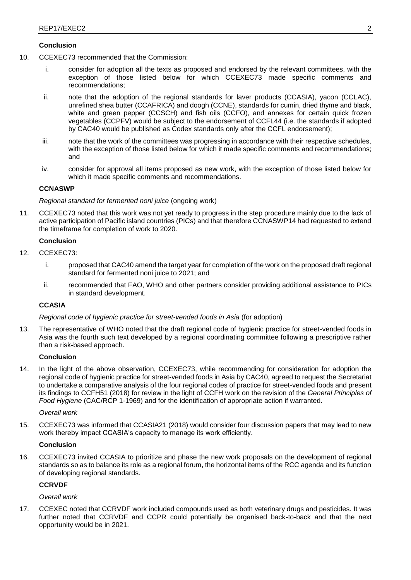- 10. CCEXEC73 recommended that the Commission:
	- i. consider for adoption all the texts as proposed and endorsed by the relevant committees, with the exception of those listed below for which CCEXEC73 made specific comments and recommendations;
	- ii. note that the adoption of the regional standards for laver products (CCASIA), yacon (CCLAC), unrefined shea butter (CCAFRICA) and doogh (CCNE), standards for cumin, dried thyme and black, white and green pepper (CCSCH) and fish oils (CCFO), and annexes for certain quick frozen vegetables (CCPFV) would be subject to the endorsement of CCFL44 (i.e. the standards if adopted by CAC40 would be published as Codex standards only after the CCFL endorsement);
	- iii. note that the work of the committees was progressing in accordance with their respective schedules, with the exception of those listed below for which it made specific comments and recommendations; and
	- iv. consider for approval all items proposed as new work, with the exception of those listed below for which it made specific comments and recommendations.

# **CCNASWP**

## *Regional standard for fermented noni juice* (ongoing work)

11. CCEXEC73 noted that this work was not yet ready to progress in the step procedure mainly due to the lack of active participation of Pacific island countries (PICs) and that therefore CCNASWP14 had requested to extend the timeframe for completion of work to 2020.

## **Conclusion**

- 12. CCEXEC73:
	- i. proposed that CAC40 amend the target year for completion of the work on the proposed draft regional standard for fermented noni juice to 2021; and
	- ii. recommended that FAO, WHO and other partners consider providing additional assistance to PICs in standard development.

# **CCASIA**

## *Regional code of hygienic practice for street-vended foods in Asia* (for adoption)

13. The representative of WHO noted that the draft regional code of hygienic practice for street-vended foods in Asia was the fourth such text developed by a regional coordinating committee following a prescriptive rather than a risk-based approach.

## **Conclusion**

14. In the light of the above observation, CCEXEC73, while recommending for consideration for adoption the regional code of hygienic practice for street-vended foods in Asia by CAC40, agreed to request the Secretariat to undertake a comparative analysis of the four regional codes of practice for street-vended foods and present its findings to CCFH51 (2018) for review in the light of CCFH work on the revision of the *General Principles of Food Hygiene* (CAC/RCP 1-1969) and for the identification of appropriate action if warranted.

## *Overall work*

15. CCEXEC73 was informed that CCASIA21 (2018) would consider four discussion papers that may lead to new work thereby impact CCASIA's capacity to manage its work efficiently.

## **Conclusion**

16. CCEXEC73 invited CCASIA to prioritize and phase the new work proposals on the development of regional standards so as to balance its role as a regional forum, the horizontal items of the RCC agenda and its function of developing regional standards.

# **CCRVDF**

## *Overall work*

17. CCEXEC noted that CCRVDF work included compounds used as both veterinary drugs and pesticides. It was further noted that CCRVDF and CCPR could potentially be organised back-to-back and that the next opportunity would be in 2021.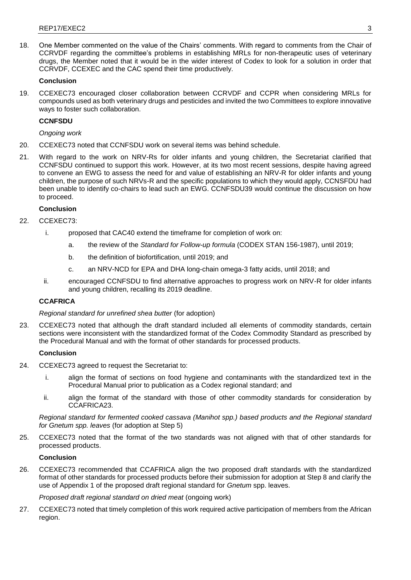18. One Member commented on the value of the Chairs' comments. With regard to comments from the Chair of CCRVDF regarding the committee's problems in establishing MRLs for non-therapeutic uses of veterinary drugs, the Member noted that it would be in the wider interest of Codex to look for a solution in order that CCRVDF, CCEXEC and the CAC spend their time productively.

## **Conclusion**

19. CCEXEC73 encouraged closer collaboration between CCRVDF and CCPR when considering MRLs for compounds used as both veterinary drugs and pesticides and invited the two Committees to explore innovative ways to foster such collaboration.

## **CCNFSDU**

*Ongoing work*

- 20. CCEXEC73 noted that CCNFSDU work on several items was behind schedule.
- 21. With regard to the work on NRV-Rs for older infants and young children, the Secretariat clarified that CCNFSDU continued to support this work. However, at its two most recent sessions, despite having agreed to convene an EWG to assess the need for and value of establishing an NRV-R for older infants and young children, the purpose of such NRVs-R and the specific populations to which they would apply, CCNSFDU had been unable to identify co-chairs to lead such an EWG. CCNFSDU39 would continue the discussion on how to proceed.

## **Conclusion**

- 22. CCEXEC73:
	- i. proposed that CAC40 extend the timeframe for completion of work on:
		- a. the review of the *Standard for Follow-up formula* (CODEX STAN 156-1987), until 2019;
		- b. the definition of biofortification, until 2019; and
		- c. an NRV-NCD for EPA and DHA long-chain omega-3 fatty acids, until 2018; and
	- ii. encouraged CCNFSDU to find alternative approaches to progress work on NRV-R for older infants and young children, recalling its 2019 deadline.

# **CCAFRICA**

## *Regional standard for unrefined shea butter* (for adoption)

23. CCEXEC73 noted that although the draft standard included all elements of commodity standards, certain sections were inconsistent with the standardized format of the Codex Commodity Standard as prescribed by the Procedural Manual and with the format of other standards for processed products.

## **Conclusion**

- 24. CCEXEC73 agreed to request the Secretariat to:
	- i. align the format of sections on food hygiene and contaminants with the standardized text in the Procedural Manual prior to publication as a Codex regional standard; and
	- ii. align the format of the standard with those of other commodity standards for consideration by CCAFRICA23.

*Regional standard for fermented cooked cassava (Manihot spp.) based products and the Regional standard for Gnetum spp. leaves* (for adoption at Step 5)

25. CCEXEC73 noted that the format of the two standards was not aligned with that of other standards for processed products.

# **Conclusion**

26. CCEXEC73 recommended that CCAFRICA align the two proposed draft standards with the standardized format of other standards for processed products before their submission for adoption at Step 8 and clarify the use of Appendix 1 of the proposed draft regional standard for *Gnetum* spp. leaves.

*Proposed draft regional standard on dried meat (ongoing work)* 

27. CCEXEC73 noted that timely completion of this work required active participation of members from the African region.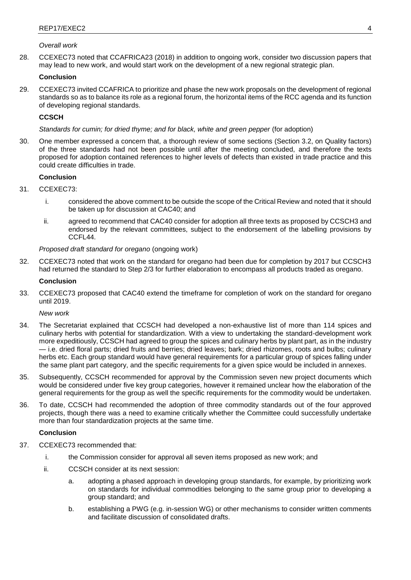## *Overall work*

28. CCEXEC73 noted that CCAFRICA23 (2018) in addition to ongoing work, consider two discussion papers that may lead to new work, and would start work on the development of a new regional strategic plan.

## **Conclusion**

29. CCEXEC73 invited CCAFRICA to prioritize and phase the new work proposals on the development of regional standards so as to balance its role as a regional forum, the horizontal items of the RCC agenda and its function of developing regional standards.

# **CCSCH**

## *Standards for cumin; for dried thyme; and for black, white and green pepper* (for adoption)

30. One member expressed a concern that, a thorough review of some sections (Section 3.2, on Quality factors) of the three standards had not been possible until after the meeting concluded, and therefore the texts proposed for adoption contained references to higher levels of defects than existed in trade practice and this could create difficulties in trade.

# **Conclusion**

- 31. CCEXEC73:
	- i. considered the above comment to be outside the scope of the Critical Review and noted that it should be taken up for discussion at CAC40; and
	- ii. agreed to recommend that CAC40 consider for adoption all three texts as proposed by CCSCH3 and endorsed by the relevant committees, subject to the endorsement of the labelling provisions by CCFL44.

## *Proposed draft standard for oregano* (ongoing work)

32. CCEXEC73 noted that work on the standard for oregano had been due for completion by 2017 but CCSCH3 had returned the standard to Step 2/3 for further elaboration to encompass all products traded as oregano.

### **Conclusion**

33. CCEXEC73 proposed that CAC40 extend the timeframe for completion of work on the standard for oregano until 2019.

*New work*

- 34. The Secretariat explained that CCSCH had developed a non-exhaustive list of more than 114 spices and culinary herbs with potential for standardization. With a view to undertaking the standard-development work more expeditiously, CCSCH had agreed to group the spices and culinary herbs by plant part, as in the industry — i.e. dried floral parts; dried fruits and berries; dried leaves; bark; dried rhizomes, roots and bulbs; culinary herbs etc. Each group standard would have general requirements for a particular group of spices falling under the same plant part category, and the specific requirements for a given spice would be included in annexes.
- 35. Subsequently, CCSCH recommended for approval by the Commission seven new project documents which would be considered under five key group categories, however it remained unclear how the elaboration of the general requirements for the group as well the specific requirements for the commodity would be undertaken.
- 36. To date, CCSCH had recommended the adoption of three commodity standards out of the four approved projects, though there was a need to examine critically whether the Committee could successfully undertake more than four standardization projects at the same time.

## **Conclusion**

- 37. CCEXEC73 recommended that:
	- i. the Commission consider for approval all seven items proposed as new work; and
	- ii. CCSCH consider at its next session:
		- a. adopting a phased approach in developing group standards, for example, by prioritizing work on standards for individual commodities belonging to the same group prior to developing a group standard; and
		- b. establishing a PWG (e.g. in-session WG) or other mechanisms to consider written comments and facilitate discussion of consolidated drafts.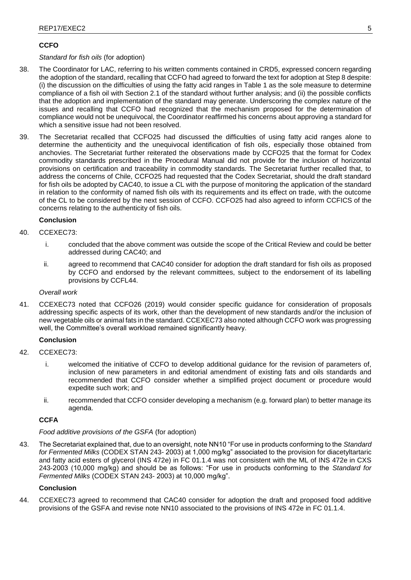# **CCFO**

# *Standard for fish oils* (for adoption)

- 38. The Coordinator for LAC, referring to his written comments contained in CRD5, expressed concern regarding the adoption of the standard, recalling that CCFO had agreed to forward the text for adoption at Step 8 despite: (i) the discussion on the difficulties of using the fatty acid ranges in Table 1 as the sole measure to determine compliance of a fish oil with Section 2.1 of the standard without further analysis; and (ii) the possible conflicts that the adoption and implementation of the standard may generate. Underscoring the complex nature of the issues and recalling that CCFO had recognized that the mechanism proposed for the determination of compliance would not be unequivocal, the Coordinator reaffirmed his concerns about approving a standard for which a sensitive issue had not been resolved.
- 39. The Secretariat recalled that CCFO25 had discussed the difficulties of using fatty acid ranges alone to determine the authenticity and the unequivocal identification of fish oils, especially those obtained from anchovies. The Secretariat further reiterated the observations made by CCFO25 that the format for Codex commodity standards prescribed in the Procedural Manual did not provide for the inclusion of horizontal provisions on certification and traceability in commodity standards. The Secretariat further recalled that, to address the concerns of Chile, CCFO25 had requested that the Codex Secretariat, should the draft standard for fish oils be adopted by CAC40, to issue a CL with the purpose of monitoring the application of the standard in relation to the conformity of named fish oils with its requirements and its effect on trade, with the outcome of the CL to be considered by the next session of CCFO. CCFO25 had also agreed to inform CCFICS of the concerns relating to the authenticity of fish oils.

## **Conclusion**

- 40. CCEXEC73:
	- i. concluded that the above comment was outside the scope of the Critical Review and could be better addressed during CAC40; and
	- ii. agreed to recommend that CAC40 consider for adoption the draft standard for fish oils as proposed by CCFO and endorsed by the relevant committees, subject to the endorsement of its labelling provisions by CCFL44.

## *Overall work*

41. CCEXEC73 noted that CCFO26 (2019) would consider specific guidance for consideration of proposals addressing specific aspects of its work, other than the development of new standards and/or the inclusion of new vegetable oils or animal fats in the standard. CCEXEC73 also noted although CCFO work was progressing well, the Committee's overall workload remained significantly heavy.

## **Conclusion**

- 42. CCEXEC73:
	- i. welcomed the initiative of CCFO to develop additional guidance for the revision of parameters of, inclusion of new parameters in and editorial amendment of existing fats and oils standards and recommended that CCFO consider whether a simplified project document or procedure would expedite such work; and
	- ii. recommended that CCFO consider developing a mechanism (e.g. forward plan) to better manage its agenda.

# **CCFA**

## *Food additive provisions of the GSFA* (for adoption)

43. The Secretariat explained that, due to an oversight, note NN10 "For use in products conforming to the *Standard for Fermented Milks* (CODEX STAN 243- 2003) at 1,000 mg/kg" associated to the provision for diacetyltartaric and fatty acid esters of glycerol (INS 472e) in FC 01.1.4 was not consistent with the ML of INS 472e in CXS 243-2003 (10,000 mg/kg) and should be as follows: "For use in products conforming to the *Standard for Fermented Milks* (CODEX STAN 243- 2003) at 10,000 mg/kg".

## **Conclusion**

44. CCEXEC73 agreed to recommend that CAC40 consider for adoption the draft and proposed food additive provisions of the GSFA and revise note NN10 associated to the provisions of INS 472e in FC 01.1.4.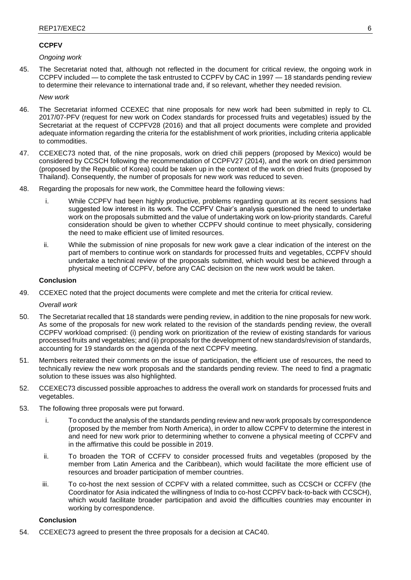# **CCPFV**

*Ongoing work*

45. The Secretariat noted that, although not reflected in the document for critical review, the ongoing work in CCPFV included — to complete the task entrusted to CCPFV by CAC in 1997 — 18 standards pending review to determine their relevance to international trade and, if so relevant, whether they needed revision.

*New work*

- 46. The Secretariat informed CCEXEC that nine proposals for new work had been submitted in reply to CL 2017/07-PFV (request for new work on Codex standards for processed fruits and vegetables) issued by the Secretariat at the request of CCPFV28 (2016) and that all project documents were complete and provided adequate information regarding the criteria for the establishment of work priorities, including criteria applicable to commodities.
- 47. CCEXEC73 noted that, of the nine proposals, work on dried chili peppers (proposed by Mexico) would be considered by CCSCH following the recommendation of CCPFV27 (2014), and the work on dried persimmon (proposed by the Republic of Korea) could be taken up in the context of the work on dried fruits (proposed by Thailand). Consequently, the number of proposals for new work was reduced to seven.
- 48. Regarding the proposals for new work, the Committee heard the following views:
	- i. While CCPFV had been highly productive, problems regarding quorum at its recent sessions had suggested low interest in its work. The CCPFV Chair's analysis questioned the need to undertake work on the proposals submitted and the value of undertaking work on low-priority standards. Careful consideration should be given to whether CCPFV should continue to meet physically, considering the need to make efficient use of limited resources.
	- ii. While the submission of nine proposals for new work gave a clear indication of the interest on the part of members to continue work on standards for processed fruits and vegetables, CCPFV should undertake a technical review of the proposals submitted, which would best be achieved through a physical meeting of CCPFV, before any CAC decision on the new work would be taken.

## **Conclusion**

49. CCEXEC noted that the project documents were complete and met the criteria for critical review.

*Overall work*

- 50. The Secretariat recalled that 18 standards were pending review, in addition to the nine proposals for new work. As some of the proposals for new work related to the revision of the standards pending review, the overall CCPFV workload comprised: (i) pending work on prioritization of the review of existing standards for various processed fruits and vegetables; and (ii) proposals for the development of new standards/revision of standards, accounting for 19 standards on the agenda of the next CCPFV meeting.
- 51. Members reiterated their comments on the issue of participation, the efficient use of resources, the need to technically review the new work proposals and the standards pending review. The need to find a pragmatic solution to these issues was also highlighted.
- 52. CCEXEC73 discussed possible approaches to address the overall work on standards for processed fruits and vegetables.
- 53. The following three proposals were put forward.
	- i. To conduct the analysis of the standards pending review and new work proposals by correspondence (proposed by the member from North America), in order to allow CCPFV to determine the interest in and need for new work prior to determining whether to convene a physical meeting of CCPFV and in the affirmative this could be possible in 2019.
	- ii. To broaden the TOR of CCFFV to consider processed fruits and vegetables (proposed by the member from Latin America and the Caribbean), which would facilitate the more efficient use of resources and broader participation of member countries.
	- iii. To co-host the next session of CCPFV with a related committee, such as CCSCH or CCFFV (the Coordinator for Asia indicated the willingness of India to co-host CCPFV back-to-back with CCSCH), which would facilitate broader participation and avoid the difficulties countries may encounter in working by correspondence.

## **Conclusion**

54. CCEXEC73 agreed to present the three proposals for a decision at CAC40.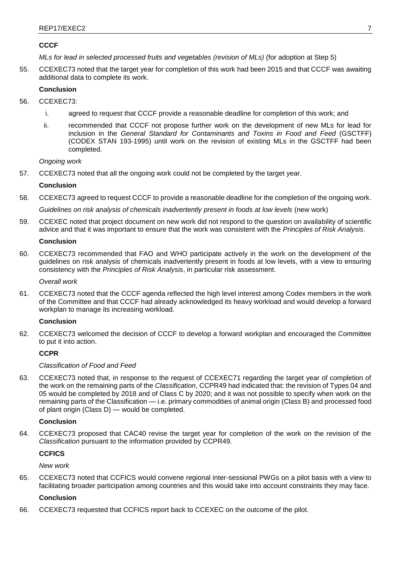# **CCCF**

*MLs for lead in selected processed fruits and vegetables (revision of MLs)* (for adoption at Step 5)

55. CCEXEC73 noted that the target year for completion of this work had been 2015 and that CCCF was awaiting additional data to complete its work.

# **Conclusion**

- 56. CCEXEC73:
	- i. agreed to request that CCCF provide a reasonable deadline for completion of this work; and
	- ii. recommended that CCCF not propose further work on the development of new MLs for lead for inclusion in the *General Standard for Contaminants and Toxins in Food and Feed* (GSCTFF) (CODEX STAN 193-1995) until work on the revision of existing MLs in the GSCTFF had been completed.

*Ongoing work*

57. CCEXEC73 noted that all the ongoing work could not be completed by the target year.

## **Conclusion**

58. CCEXEC73 agreed to request CCCF to provide a reasonable deadline for the completion of the ongoing work.

*Guidelines on risk analysis of chemicals inadvertently present in foods at low levels (new work)* 

59. CCEXEC noted that project document on new work did not respond to the question on availability of scientific advice and that it was important to ensure that the work was consistent with the *Principles of Risk Analysis*.

## **Conclusion**

60. CCEXEC73 recommended that FAO and WHO participate actively in the work on the development of the guidelines on risk analysis of chemicals inadvertently present in foods at low levels, with a view to ensuring consistency with the *Principles of Risk Analysis*, in particular risk assessment.

*Overall work*

61. CCEXEC73 noted that the CCCF agenda reflected the high level interest among Codex members in the work of the Committee and that CCCF had already acknowledged its heavy workload and would develop a forward workplan to manage its increasing workload.

## **Conclusion**

62. CCEXEC73 welcomed the decision of CCCF to develop a forward workplan and encouraged the Committee to put it into action.

## **CCPR**

## *Classification of Food and Feed*

63. CCEXEC73 noted that, in response to the request of CCEXEC71 regarding the target year of completion of the work on the remaining parts of the *Classification*, CCPR49 had indicated that: the revision of Types 04 and 05 would be completed by 2018 and of Class C by 2020; and it was not possible to specify when work on the remaining parts of the Classification — i.e. primary commodities of animal origin (Class B) and processed food of plant origin (Class D) — would be completed.

## **Conclusion**

64. CCEXEC73 proposed that CAC40 revise the target year for completion of the work on the revision of the *Classification* pursuant to the information provided by CCPR49.

# **CCFICS**

*New work*

65. CCEXEC73 noted that CCFICS would convene regional inter-sessional PWGs on a pilot basis with a view to facilitating broader participation among countries and this would take into account constraints they may face.

## **Conclusion**

66. CCEXEC73 requested that CCFICS report back to CCEXEC on the outcome of the pilot.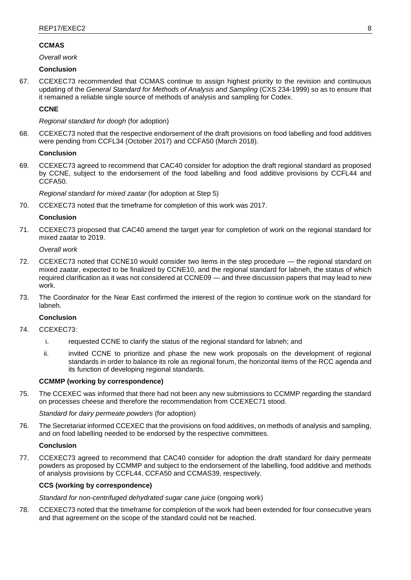# **CCMAS**

*Overall work* 

# **Conclusion**

67. CCEXEC73 recommended that CCMAS continue to assign highest priority to the revision and continuous updating of the *General Standard for Methods of Analysis and Sampling* (CXS 234-1999) so as to ensure that it remained a reliable single source of methods of analysis and sampling for Codex.

# **CCNE**

## *Regional standard for doogh* (for adoption)

68. CCEXEC73 noted that the respective endorsement of the draft provisions on food labelling and food additives were pending from CCFL34 (October 2017) and CCFA50 (March 2018).

## **Conclusion**

69. CCEXEC73 agreed to recommend that CAC40 consider for adoption the draft regional standard as proposed by CCNE, subject to the endorsement of the food labelling and food additive provisions by CCFL44 and CCFA50.

*Regional standard for mixed zaatar* (for adoption at Step 5)

70. CCEXEC73 noted that the timeframe for completion of this work was 2017.

## **Conclusion**

71. CCEXEC73 proposed that CAC40 amend the target year for completion of work on the regional standard for mixed zaatar to 2019.

*Overall work*

- 72. CCEXEC73 noted that CCNE10 would consider two items in the step procedure the regional standard on mixed zaatar, expected to be finalized by CCNE10, and the regional standard for labneh, the status of which required clarification as it was not considered at CCNE09 — and three discussion papers that may lead to new work.
- 73. The Coordinator for the Near East confirmed the interest of the region to continue work on the standard for labneh.

## **Conclusion**

- 74. CCEXEC73:
	- i. requested CCNE to clarify the status of the regional standard for labneh; and
	- ii. invited CCNE to prioritize and phase the new work proposals on the development of regional standards in order to balance its role as regional forum, the horizontal items of the RCC agenda and its function of developing regional standards.

# **CCMMP (working by correspondence)**

75. The CCEXEC was informed that there had not been any new submissions to CCMMP regarding the standard on processes cheese and therefore the recommendation from CCEXEC71 stood.

## *Standard for dairy permeate powders* (for adoption)

76. The Secretariat informed CCEXEC that the provisions on food additives, on methods of analysis and sampling, and on food labelling needed to be endorsed by the respective committees.

# **Conclusion**

77. CCEXEC73 agreed to recommend that CAC40 consider for adoption the draft standard for dairy permeate powders as proposed by CCMMP and subject to the endorsement of the labelling, food additive and methods of analysis provisions by CCFL44, CCFA50 and CCMAS39, respectively.

# **CCS (working by correspondence)**

*Standard for non-centrifuged dehydrated sugar cane juice* (ongoing work)

78. CCEXEC73 noted that the timeframe for completion of the work had been extended for four consecutive years and that agreement on the scope of the standard could not be reached.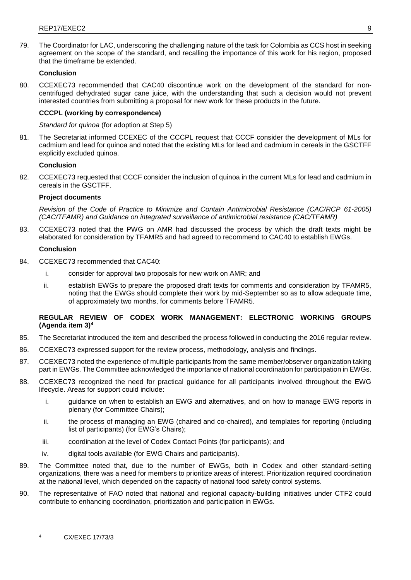79. The Coordinator for LAC, underscoring the challenging nature of the task for Colombia as CCS host in seeking agreement on the scope of the standard, and recalling the importance of this work for his region, proposed that the timeframe be extended.

# **Conclusion**

80. CCEXEC73 recommended that CAC40 discontinue work on the development of the standard for noncentrifuged dehydrated sugar cane juice, with the understanding that such a decision would not prevent interested countries from submitting a proposal for new work for these products in the future.

# **CCCPL (working by correspondence)**

*Standard for quinoa* (for adoption at Step 5)

81. The Secretariat informed CCEXEC of the CCCPL request that CCCF consider the development of MLs for cadmium and lead for quinoa and noted that the existing MLs for lead and cadmium in cereals in the GSCTFF explicitly excluded quinoa.

## **Conclusion**

82. CCEXEC73 requested that CCCF consider the inclusion of quinoa in the current MLs for lead and cadmium in cereals in the GSCTFF.

## **Project documents**

*Revision of the Code of Practice to Minimize and Contain Antimicrobial Resistance (CAC/RCP 61-2005) (CAC/TFAMR) and Guidance on integrated surveillance of antimicrobial resistance (CAC/TFAMR)*

83. CCEXEC73 noted that the PWG on AMR had discussed the process by which the draft texts might be elaborated for consideration by TFAMR5 and had agreed to recommend to CAC40 to establish EWGs.

## **Conclusion**

- 84. CCEXEC73 recommended that CAC40:
	- i. consider for approval two proposals for new work on AMR; and
	- ii. establish EWGs to prepare the proposed draft texts for comments and consideration by TFAMR5, noting that the EWGs should complete their work by mid-September so as to allow adequate time, of approximately two months, for comments before TFAMR5.

## **REGULAR REVIEW OF CODEX WORK MANAGEMENT: ELECTRONIC WORKING GROUPS (Agenda item 3)<sup>4</sup>**

- 85. The Secretariat introduced the item and described the process followed in conducting the 2016 regular review.
- 86. CCEXEC73 expressed support for the review process, methodology, analysis and findings.
- 87. CCEXEC73 noted the experience of multiple participants from the same member/observer organization taking part in EWGs. The Committee acknowledged the importance of national coordination for participation in EWGs.
- 88. CCEXEC73 recognized the need for practical guidance for all participants involved throughout the EWG lifecycle. Areas for support could include:
	- i. guidance on when to establish an EWG and alternatives, and on how to manage EWG reports in plenary (for Committee Chairs);
	- ii. the process of managing an EWG (chaired and co-chaired), and templates for reporting (including list of participants) (for EWG's Chairs);
	- iii. coordination at the level of Codex Contact Points (for participants); and
	- iv. digital tools available (for EWG Chairs and participants).
- 89. The Committee noted that, due to the number of EWGs, both in Codex and other standard-setting organizations, there was a need for members to prioritize areas of interest. Prioritization required coordination at the national level, which depended on the capacity of national food safety control systems.
- 90. The representative of FAO noted that national and regional capacity-building initiatives under CTF2 could contribute to enhancing coordination, prioritization and participation in EWGs.

<sup>4</sup> CX/EXEC 17/73/3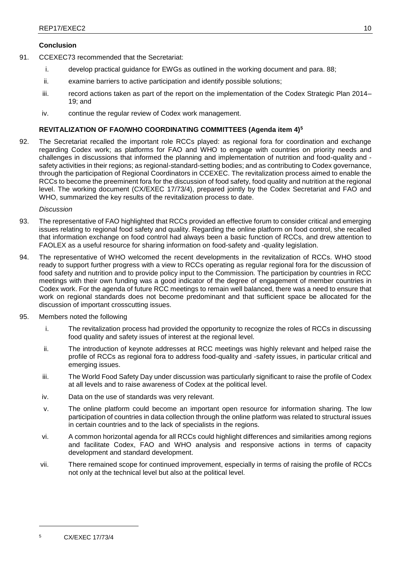- 91. CCEXEC73 recommended that the Secretariat:
	- i. develop practical guidance for EWGs as outlined in the working document and para. 88;
	- ii. examine barriers to active participation and identify possible solutions;
	- iii. record actions taken as part of the report on the implementation of the Codex Strategic Plan 2014– 19; and
	- iv. continue the regular review of Codex work management.

# **REVITALIZATION OF FAO/WHO COORDINATING COMMITTEES (Agenda item 4)<sup>5</sup>**

92. The Secretariat recalled the important role RCCs played: as regional fora for coordination and exchange regarding Codex work; as platforms for FAO and WHO to engage with countries on priority needs and challenges in discussions that informed the planning and implementation of nutrition and food-quality and safety activities in their regions; as regional-standard-setting bodies; and as contributing to Codex governance, through the participation of Regional Coordinators in CCEXEC. The revitalization process aimed to enable the RCCs to become the preeminent fora for the discussion of food safety, food quality and nutrition at the regional level. The working document (CX/EXEC 17/73/4), prepared jointly by the Codex Secretariat and FAO and WHO, summarized the key results of the revitalization process to date.

## *Discussion*

- 93. The representative of FAO highlighted that RCCs provided an effective forum to consider critical and emerging issues relating to regional food safety and quality. Regarding the online platform on food control, she recalled that information exchange on food control had always been a basic function of RCCs, and drew attention to FAOLEX as a useful resource for sharing information on food-safety and -quality legislation.
- 94. The representative of WHO welcomed the recent developments in the revitalization of RCCs. WHO stood ready to support further progress with a view to RCCs operating as regular regional fora for the discussion of food safety and nutrition and to provide policy input to the Commission. The participation by countries in RCC meetings with their own funding was a good indicator of the degree of engagement of member countries in Codex work. For the agenda of future RCC meetings to remain well balanced, there was a need to ensure that work on regional standards does not become predominant and that sufficient space be allocated for the discussion of important crosscutting issues.
- 95. Members noted the following
	- i. The revitalization process had provided the opportunity to recognize the roles of RCCs in discussing food quality and safety issues of interest at the regional level.
	- ii. The introduction of keynote addresses at RCC meetings was highly relevant and helped raise the profile of RCCs as regional fora to address food-quality and -safety issues, in particular critical and emerging issues.
	- iii. The World Food Safety Day under discussion was particularly significant to raise the profile of Codex at all levels and to raise awareness of Codex at the political level.
	- iv. Data on the use of standards was very relevant.
	- v. The online platform could become an important open resource for information sharing. The low participation of countries in data collection through the online platform was related to structural issues in certain countries and to the lack of specialists in the regions.
	- vi. A common horizontal agenda for all RCCs could highlight differences and similarities among regions and facilitate Codex, FAO and WHO analysis and responsive actions in terms of capacity development and standard development.
	- vii. There remained scope for continued improvement, especially in terms of raising the profile of RCCs not only at the technical level but also at the political level.

<sup>5</sup> CX/EXEC 17/73/4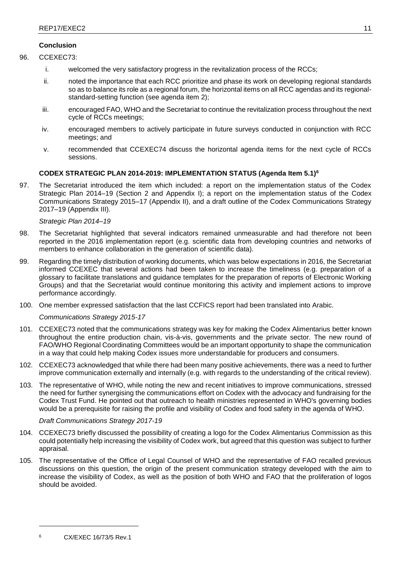- 96. CCEXEC73:
	- i. welcomed the very satisfactory progress in the revitalization process of the RCCs;
	- ii. noted the importance that each RCC prioritize and phase its work on developing regional standards so as to balance its role as a regional forum, the horizontal items on all RCC agendas and its regionalstandard-setting function (see agenda item 2);
	- iii. encouraged FAO, WHO and the Secretariat to continue the revitalization process throughout the next cycle of RCCs meetings;
	- iv. encouraged members to actively participate in future surveys conducted in conjunction with RCC meetings; and
	- v. recommended that CCEXEC74 discuss the horizontal agenda items for the next cycle of RCCs sessions.

# **CODEX STRATEGIC PLAN 2014-2019: IMPLEMENTATION STATUS (Agenda Item 5.1)<sup>6</sup>**

97. The Secretariat introduced the item which included: a report on the implementation status of the Codex Strategic Plan 2014–19 (Section 2 and Appendix I); a report on the implementation status of the Codex Communications Strategy 2015–17 (Appendix II), and a draft outline of the Codex Communications Strategy 2017–19 (Appendix III).

## *Strategic Plan 2014–19*

- 98. The Secretariat highlighted that several indicators remained unmeasurable and had therefore not been reported in the 2016 implementation report (e.g. scientific data from developing countries and networks of members to enhance collaboration in the generation of scientific data).
- 99. Regarding the timely distribution of working documents, which was below expectations in 2016, the Secretariat informed CCEXEC that several actions had been taken to increase the timeliness (e.g. preparation of a glossary to facilitate translations and guidance templates for the preparation of reports of Electronic Working Groups) and that the Secretariat would continue monitoring this activity and implement actions to improve performance accordingly.
- 100. One member expressed satisfaction that the last CCFICS report had been translated into Arabic.

*Communications Strategy 2015-17*

- 101. CCEXEC73 noted that the communications strategy was key for making the Codex Alimentarius better known throughout the entire production chain, vis-à-vis, governments and the private sector. The new round of FAO/WHO Regional Coordinating Committees would be an important opportunity to shape the communication in a way that could help making Codex issues more understandable for producers and consumers.
- 102. CCEXEC73 acknowledged that while there had been many positive achievements, there was a need to further improve communication externally and internally (e.g. with regards to the understanding of the critical review).
- 103. The representative of WHO, while noting the new and recent initiatives to improve communications, stressed the need for further synergising the communications effort on Codex with the advocacy and fundraising for the Codex Trust Fund. He pointed out that outreach to health ministries represented in WHO's governing bodies would be a prerequisite for raising the profile and visibility of Codex and food safety in the agenda of WHO.

## *Draft Communications Strategy 2017-19*

- 104. CCEXEC73 briefly discussed the possibility of creating a logo for the Codex Alimentarius Commission as this could potentially help increasing the visibility of Codex work, but agreed that this question was subject to further appraisal.
- 105. The representative of the Office of Legal Counsel of WHO and the representative of FAO recalled previous discussions on this question, the origin of the present communication strategy developed with the aim to increase the visibility of Codex, as well as the position of both WHO and FAO that the proliferation of logos should be avoided.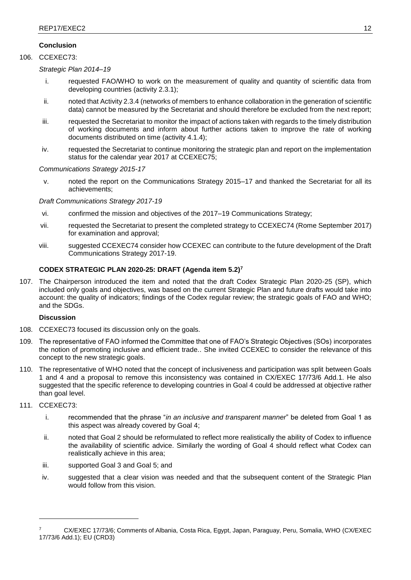# 106. CCEXEC73:

*Strategic Plan 2014–19*

- i. requested FAO/WHO to work on the measurement of quality and quantity of scientific data from developing countries (activity 2.3.1);
- ii. noted that Activity 2.3.4 (networks of members to enhance collaboration in the generation of scientific data) cannot be measured by the Secretariat and should therefore be excluded from the next report;
- iii. requested the Secretariat to monitor the impact of actions taken with regards to the timely distribution of working documents and inform about further actions taken to improve the rate of working documents distributed on time (activity 4.1.4);
- iv. requested the Secretariat to continue monitoring the strategic plan and report on the implementation status for the calendar year 2017 at CCEXEC75;

## *Communications Strategy 2015-17*

v. noted the report on the Communications Strategy 2015–17 and thanked the Secretariat for all its achievements;

# *Draft Communications Strategy 2017-19*

- vi. confirmed the mission and objectives of the 2017–19 Communications Strategy;
- vii. requested the Secretariat to present the completed strategy to CCEXEC74 (Rome September 2017) for examination and approval;
- viii. suggested CCEXEC74 consider how CCEXEC can contribute to the future development of the Draft Communications Strategy 2017-19.

# **CODEX STRATEGIC PLAN 2020-25: DRAFT (Agenda item 5.2)<sup>7</sup>**

107. The Chairperson introduced the item and noted that the draft Codex Strategic Plan 2020-25 (SP), which included only goals and objectives, was based on the current Strategic Plan and future drafts would take into account: the quality of indicators; findings of the Codex regular review; the strategic goals of FAO and WHO; and the SDGs.

# **Discussion**

- 108. CCEXEC73 focused its discussion only on the goals.
- 109. The representative of FAO informed the Committee that one of FAO's Strategic Objectives (SOs) incorporates the notion of promoting inclusive and efficient trade.. She invited CCEXEC to consider the relevance of this concept to the new strategic goals.
- 110. The representative of WHO noted that the concept of inclusiveness and participation was split between Goals 1 and 4 and a proposal to remove this inconsistency was contained in CX/EXEC 17/73/6 Add.1. He also suggested that the specific reference to developing countries in Goal 4 could be addressed at objective rather than goal level.

# 111. CCEXEC73:

- i. recommended that the phrase "*in an inclusive and transparent manner*" be deleted from Goal 1 as this aspect was already covered by Goal 4;
- ii. noted that Goal 2 should be reformulated to reflect more realistically the ability of Codex to influence the availability of scientific advice. Similarly the wording of Goal 4 should reflect what Codex can realistically achieve in this area;
- iii. supported Goal 3 and Goal 5; and
- iv. suggested that a clear vision was needed and that the subsequent content of the Strategic Plan would follow from this vision.

<sup>7</sup> CX/EXEC 17/73/6; Comments of Albania, Costa Rica, Egypt, Japan, Paraguay, Peru, Somalia, WHO (CX/EXEC 17/73/6 Add.1); EU (CRD3)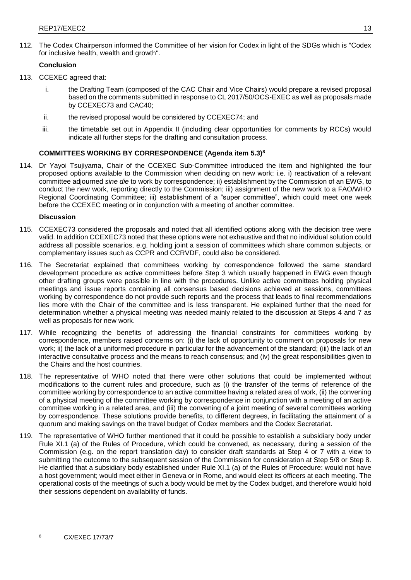112. The Codex Chairperson informed the Committee of her vision for Codex in light of the SDGs which is "Codex for inclusive health, wealth and growth".

# **Conclusion**

- 113. CCEXEC agreed that:
	- i. the Drafting Team (composed of the CAC Chair and Vice Chairs) would prepare a revised proposal based on the comments submitted in response to CL 2017/50/OCS-EXEC as well as proposals made by CCEXEC73 and CAC40;
	- ii. the revised proposal would be considered by CCEXEC74; and
	- iii. the timetable set out in Appendix II (including clear opportunities for comments by RCCs) would indicate all further steps for the drafting and consultation process.

# **COMMITTEES WORKING BY CORRESPONDENCE (Agenda item 5.3)<sup>8</sup>**

114. Dr Yayoi Tsujiyama, Chair of the CCEXEC Sub-Committee introduced the item and highlighted the four proposed options available to the Commission when deciding on new work: i.e. i) reactivation of a relevant committee adjourned *sine die* to work by correspondence; ii) establishment by the Commission of an EWG, to conduct the new work, reporting directly to the Commission; iii) assignment of the new work to a FAO/WHO Regional Coordinating Committee; iii) establishment of a "super committee", which could meet one week before the CCEXEC meeting or in conjunction with a meeting of another committee.

## **Discussion**

- 115. CCEXEC73 considered the proposals and noted that all identified options along with the decision tree were valid. In addition CCEXEC73 noted that these options were not exhaustive and that no individual solution could address all possible scenarios, e.g. holding joint a session of committees which share common subjects, or complementary issues such as CCPR and CCRVDF, could also be considered.
- 116. The Secretariat explained that committees working by correspondence followed the same standard development procedure as active committees before Step 3 which usually happened in EWG even though other drafting groups were possible in line with the procedures. Unlike active committees holding physical meetings and issue reports containing all consensus based decisions achieved at sessions, committees working by correspondence do not provide such reports and the process that leads to final recommendations lies more with the Chair of the committee and is less transparent. He explained further that the need for determination whether a physical meeting was needed mainly related to the discussion at Steps 4 and 7 as well as proposals for new work.
- 117. While recognizing the benefits of addressing the financial constraints for committees working by correspondence, members raised concerns on: (i) the lack of opportunity to comment on proposals for new work; ii) the lack of a uniformed procedure in particular for the advancement of the standard; (iii) the lack of an interactive consultative process and the means to reach consensus; and (iv) the great responsibilities given to the Chairs and the host countries.
- 118. The representative of WHO noted that there were other solutions that could be implemented without modifications to the current rules and procedure, such as (i) the transfer of the terms of reference of the committee working by correspondence to an active committee having a related area of work, (ii) the convening of a physical meeting of the committee working by correspondence in conjunction with a meeting of an active committee working in a related area, and (iii) the convening of a joint meeting of several committees working by correspondence. These solutions provide benefits, to different degrees, in facilitating the attainment of a quorum and making savings on the travel budget of Codex members and the Codex Secretariat.
- 119. The representative of WHO further mentioned that it could be possible to establish a subsidiary body under Rule XI.1 (a) of the Rules of Procedure, which could be convened, as necessary, during a session of the Commission (e.g. on the report translation day) to consider draft standards at Step 4 or 7 with a view to submitting the outcome to the subsequent session of the Commission for consideration at Step 5/8 or Step 8. He clarified that a subsidiary body established under Rule XI.1 (a) of the Rules of Procedure: would not have a host government; would meet either in Geneva or in Rome, and would elect its officers at each meeting. The operational costs of the meetings of such a body would be met by the Codex budget, and therefore would hold their sessions dependent on availability of funds.

<sup>8</sup> CX/EXEC 17/73/7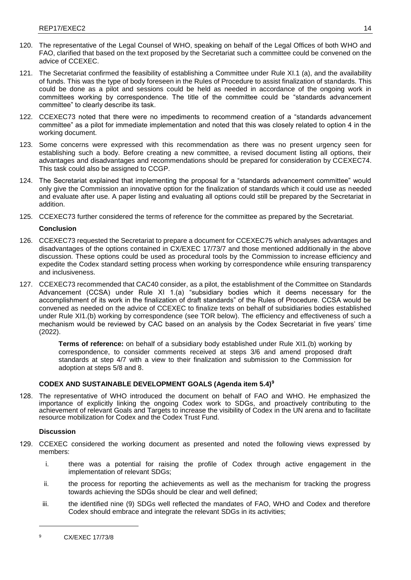- 120. The representative of the Legal Counsel of WHO, speaking on behalf of the Legal Offices of both WHO and FAO, clarified that based on the text proposed by the Secretariat such a committee could be convened on the advice of CCEXEC.
- 121. The Secretariat confirmed the feasibility of establishing a Committee under Rule XI.1 (a), and the availability of funds. This was the type of body foreseen in the Rules of Procedure to assist finalization of standards. This could be done as a pilot and sessions could be held as needed in accordance of the ongoing work in committees working by correspondence. The title of the committee could be "standards advancement committee" to clearly describe its task.
- 122. CCEXEC73 noted that there were no impediments to recommend creation of a "standards advancement committee" as a pilot for immediate implementation and noted that this was closely related to option 4 in the working document.
- 123. Some concerns were expressed with this recommendation as there was no present urgency seen for establishing such a body. Before creating a new committee, a revised document listing all options, their advantages and disadvantages and recommendations should be prepared for consideration by CCEXEC74. This task could also be assigned to CCGP.
- 124. The Secretariat explained that implementing the proposal for a "standards advancement committee" would only give the Commission an innovative option for the finalization of standards which it could use as needed and evaluate after use. A paper listing and evaluating all options could still be prepared by the Secretariat in addition.
- 125. CCEXEC73 further considered the terms of reference for the committee as prepared by the Secretariat.

- 126. CCEXEC73 requested the Secretariat to prepare a document for CCEXEC75 which analyses advantages and disadvantages of the options contained in CX/EXEC 17/73/7 and those mentioned additionally in the above discussion. These options could be used as procedural tools by the Commission to increase efficiency and expedite the Codex standard setting process when working by correspondence while ensuring transparency and inclusiveness.
- 127. CCEXEC73 recommended that CAC40 consider, as a pilot, the establishment of the Committee on Standards Advancement (CCSA) under Rule XI 1.(a) "subsidiary bodies which it deems necessary for the accomplishment of its work in the finalization of draft standards" of the Rules of Procedure. CCSA would be convened as needed on the advice of CCEXEC to finalize texts on behalf of subsidiaries bodies established under Rule XI1.(b) working by correspondence (see TOR below). The efficiency and effectiveness of such a mechanism would be reviewed by CAC based on an analysis by the Codex Secretariat in five years' time (2022).

**Terms of reference:** on behalf of a subsidiary body established under Rule XI1.(b) working by correspondence, to consider comments received at steps 3/6 and amend proposed draft standards at step 4/7 with a view to their finalization and submission to the Commission for adoption at steps 5/8 and 8.

# **CODEX AND SUSTAINABLE DEVELOPMENT GOALS (Agenda item 5.4)<sup>9</sup>**

128. The representative of WHO introduced the document on behalf of FAO and WHO. He emphasized the importance of explicitly linking the ongoing Codex work to SDGs, and proactively contributing to the achievement of relevant Goals and Targets to increase the visibility of Codex in the UN arena and to facilitate resource mobilization for Codex and the Codex Trust Fund.

## **Discussion**

- 129. CCEXEC considered the working document as presented and noted the following views expressed by members:
	- i. there was a potential for raising the profile of Codex through active engagement in the implementation of relevant SDGs;
	- ii. the process for reporting the achievements as well as the mechanism for tracking the progress towards achieving the SDGs should be clear and well defined;
	- iii. the identified nine (9) SDGs well reflected the mandates of FAO, WHO and Codex and therefore Codex should embrace and integrate the relevant SDGs in its activities;

<sup>&</sup>lt;sup>9</sup> CX/EXEC 17/73/8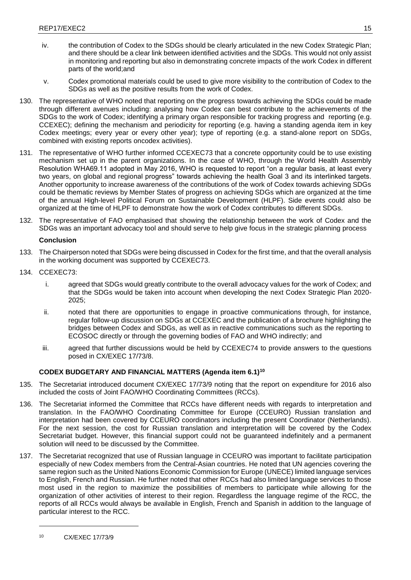- iv. the contribution of Codex to the SDGs should be clearly articulated in the new Codex Strategic Plan; and there should be a clear link between identified activities and the SDGs. This would not only assist in monitoring and reporting but also in demonstrating concrete impacts of the work Codex in different parts of the world;and
- v. Codex promotional materials could be used to give more visibility to the contribution of Codex to the SDGs as well as the positive results from the work of Codex.
- 130. The representative of WHO noted that reporting on the progress towards achieving the SDGs could be made through different avenues including: analysing how Codex can best contribute to the achievements of the SDGs to the work of Codex; identifying a primary organ responsible for tracking progress and reporting (e.g. CCEXEC); defining the mechanism and periodicity for reporting (e.g. having a standing agenda item in key Codex meetings; every year or every other year); type of reporting (e.g. a stand-alone report on SDGs, combined with existing reports oncodex activities).
- 131. The representative of WHO further informed CCEXEC73 that a concrete opportunity could be to use existing mechanism set up in the parent organizations. In the case of WHO, through the World Health Assembly Resolution WHA69.11 adopted in May 2016, WHO is requested to report "on a regular basis, at least every two years, on global and regional progress" towards achieving the health Goal 3 and its interlinked targets. Another opportunity to increase awareness of the contributions of the work of Codex towards achieving SDGs could be thematic reviews by Member States of progress on achieving SDGs which are organized at the time of the annual High-level Political Forum on Sustainable Development (HLPF). Side events could also be organized at the time of HLPF to demonstrate how the work of Codex contributes to different SDGs.
- 132. The representative of FAO emphasised that showing the relationship between the work of Codex and the SDGs was an important advocacy tool and should serve to help give focus in the strategic planning process

- 133. The Chairperson noted that SDGs were being discussed in Codex for the first time, and that the overall analysis in the working document was supported by CCEXEC73.
- 134. CCEXEC73:
	- i. agreed that SDGs would greatly contribute to the overall advocacy values for the work of Codex; and that the SDGs would be taken into account when developing the next Codex Strategic Plan 2020- 2025;
	- ii. noted that there are opportunities to engage in proactive communications through, for instance, regular follow-up discussion on SDGs at CCEXEC and the publication of a brochure highlighting the bridges between Codex and SDGs, as well as in reactive communications such as the reporting to ECOSOC directly or through the governing bodies of FAO and WHO indirectly; and
	- iii. agreed that further discussions would be held by CCEXEC74 to provide answers to the questions posed in CX/EXEC 17/73/8.

# **CODEX BUDGETARY AND FINANCIAL MATTERS (Agenda item 6.1)<sup>10</sup>**

- 135. The Secretariat introduced document CX/EXEC 17/73/9 noting that the report on expenditure for 2016 also included the costs of Joint FAO/WHO Coordinating Committees (RCCs).
- 136. The Secretariat informed the Committee that RCCs have different needs with regards to interpretation and translation. In the FAO/WHO Coordinating Committee for Europe (CCEURO) Russian translation and interpretation had been covered by CCEURO coordinators including the present Coordinator (Netherlands). For the next session, the cost for Russian translation and interpretation will be covered by the Codex Secretariat budget. However, this financial support could not be guaranteed indefinitely and a permanent solution will need to be discussed by the Committee.
- 137. The Secretariat recognized that use of Russian language in CCEURO was important to facilitate participation especially of new Codex members from the Central-Asian countries. He noted that UN agencies covering the same region such as the United Nations Economic Commission for Europe (UNECE) limited language services to English, French and Russian. He further noted that other RCCs had also limited language services to those most used in the region to maximize the possibilities of members to participate while allowing for the organization of other activities of interest to their region. Regardless the language regime of the RCC, the reports of all RCCs would always be available in English, French and Spanish in addition to the language of particular interest to the RCC.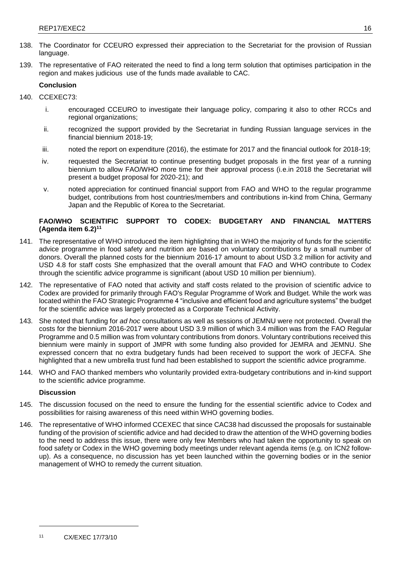- 138. The Coordinator for CCEURO expressed their appreciation to the Secretariat for the provision of Russian language.
- 139. The representative of FAO reiterated the need to find a long term solution that optimises participation in the region and makes judicious use of the funds made available to CAC.

- 140. CCEXEC73:
	- i. encouraged CCEURO to investigate their language policy, comparing it also to other RCCs and regional organizations;
	- ii. recognized the support provided by the Secretariat in funding Russian language services in the financial biennium 2018-19;
	- iii. noted the report on expenditure (2016), the estimate for 2017 and the financial outlook for 2018-19;
	- iv. requested the Secretariat to continue presenting budget proposals in the first year of a running biennium to allow FAO/WHO more time for their approval process (i.e.in 2018 the Secretariat will present a budget proposal for 2020-21); and
	- v. noted appreciation for continued financial support from FAO and WHO to the regular programme budget, contributions from host countries/members and contributions in-kind from China, Germany Japan and the Republic of Korea to the Secretariat.

# **FAO/WHO SCIENTIFIC SUPPORT TO CODEX: BUDGETARY AND FINANCIAL MATTERS (Agenda item 6.2)<sup>11</sup>**

- 141. The representative of WHO introduced the item highlighting that in WHO the majority of funds for the scientific advice programme in food safety and nutrition are based on voluntary contributions by a small number of donors. Overall the planned costs for the biennium 2016-17 amount to about USD 3.2 million for activity and USD 4.8 for staff costs She emphasized that the overall amount that FAO and WHO contribute to Codex through the scientific advice programme is significant (about USD 10 million per biennium).
- 142. The representative of FAO noted that activity and staff costs related to the provision of scientific advice to Codex are provided for primarily through FAO's Regular Programme of Work and Budget. While the work was located within the FAO Strategic Programme 4 "inclusive and efficient food and agriculture systems" the budget for the scientific advice was largely protected as a Corporate Technical Activity.
- 143. She noted that funding for *ad hoc* consultations as well as sessions of JEMNU were not protected. Overall the costs for the biennium 2016-2017 were about USD 3.9 million of which 3.4 million was from the FAO Regular Programme and 0.5 million was from voluntary contributions from donors. Voluntary contributions received this biennium were mainly in support of JMPR with some funding also provided for JEMRA and JEMNU. She expressed concern that no extra budgetary funds had been received to support the work of JECFA. She highlighted that a new umbrella trust fund had been established to support the scientific advice programme.
- 144. WHO and FAO thanked members who voluntarily provided extra-budgetary contributions and in-kind support to the scientific advice programme.

# **Discussion**

- 145. The discussion focused on the need to ensure the funding for the essential scientific advice to Codex and possibilities for raising awareness of this need within WHO governing bodies.
- 146. The representative of WHO informed CCEXEC that since CAC38 had discussed the proposals for sustainable funding of the provision of scientific advice and had decided to draw the attention of the WHO governing bodies to the need to address this issue, there were only few Members who had taken the opportunity to speak on food safety or Codex in the WHO governing body meetings under relevant agenda items (e.g. on ICN2 followup). As a consequence, no discussion has yet been launched within the governing bodies or in the senior management of WHO to remedy the current situation.

<sup>11</sup> CX/EXEC 17/73/10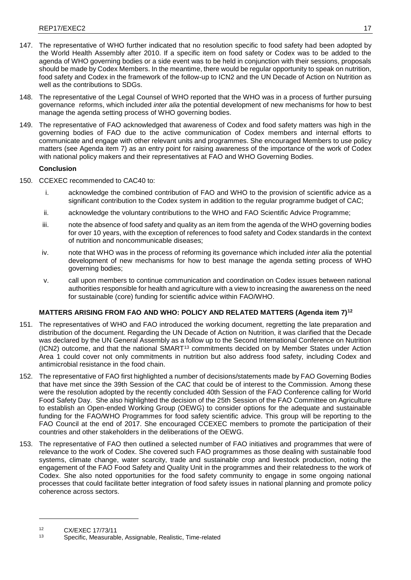- 147. The representative of WHO further indicated that no resolution specific to food safety had been adopted by the World Health Assembly after 2010. If a specific item on food safety or Codex was to be added to the agenda of WHO governing bodies or a side event was to be held in conjunction with their sessions, proposals should be made by Codex Members. In the meantime, there would be regular opportunity to speak on nutrition, food safety and Codex in the framework of the follow-up to ICN2 and the UN Decade of Action on Nutrition as well as the contributions to SDGs.
- 148. The representative of the Legal Counsel of WHO reported that the WHO was in a process of further pursuing governance reforms, which included *inter alia* the potential development of new mechanisms for how to best manage the agenda setting process of WHO governing bodies.
- 149. The representative of FAO acknowledged that awareness of Codex and food safety matters was high in the governing bodies of FAO due to the active communication of Codex members and internal efforts to communicate and engage with other relevant units and programmes. She encouraged Members to use policy matters (see Agenda item 7) as an entry point for raising awareness of the importance of the work of Codex with national policy makers and their representatives at FAO and WHO Governing Bodies.

- 150. CCEXEC recommended to CAC40 to:
	- i. acknowledge the combined contribution of FAO and WHO to the provision of scientific advice as a significant contribution to the Codex system in addition to the regular programme budget of CAC;
	- ii. acknowledge the voluntary contributions to the WHO and FAO Scientific Advice Programme;
	- iii. note the absence of food safety and quality as an item from the agenda of the WHO governing bodies for over 10 years, with the exception of references to food safety and Codex standards in the context of nutrition and noncommunicable diseases;
	- iv. note that WHO was in the process of reforming its governance which included *inter alia* the potential development of new mechanisms for how to best manage the agenda setting process of WHO governing bodies;
	- v. call upon members to continue communication and coordination on Codex issues between national authorities responsible for health and agriculture with a view to increasing the awareness on the need for sustainable (core) funding for scientific advice within FAO/WHO.

# **MATTERS ARISING FROM FAO AND WHO: POLICY AND RELATED MATTERS (Agenda item 7)<sup>12</sup>**

- 151. The representatives of WHO and FAO introduced the working document, regretting the late preparation and distribution of the document. Regarding the UN Decade of Action on Nutrition, it was clarified that the Decade was declared by the UN General Assembly as a follow up to the Second International Conference on Nutrition (ICN2) outcome, and that the national SMART<sup>13</sup> commitments decided on by Member States under Action Area 1 could cover not only commitments in nutrition but also address food safety, including Codex and antimicrobial resistance in the food chain.
- 152. The representative of FAO first highlighted a number of decisions/statements made by FAO Governing Bodies that have met since the 39th Session of the CAC that could be of interest to the Commission. Among these were the resolution adopted by the recently concluded 40th Session of the FAO Conference calling for World Food Safety Day. She also highlighted the decision of the 25th Session of the FAO Committee on Agriculture to establish an Open-ended Working Group (OEWG) to consider options for the adequate and sustainable funding for the FAO/WHO Programmes for food safety scientific advice. This group will be reporting to the FAO Council at the end of 2017. She encouraged CCEXEC members to promote the participation of their countries and other stakeholders in the deliberations of the OEWG.
- 153. The representative of FAO then outlined a selected number of FAO initiatives and programmes that were of relevance to the work of Codex. She covered such FAO programmes as those dealing with sustainable food systems, climate change, water scarcity, trade and sustainable crop and livestock production, noting the engagement of the FAO Food Safety and Quality Unit in the programmes and their relatedness to the work of Codex. She also noted opportunities for the food safety community to engage in some ongoing national processes that could facilitate better integration of food safety issues in national planning and promote policy coherence across sectors.

 $12$  CX/EXEC 17/73/11

<sup>13</sup> Specific, Measurable, Assignable, Realistic, Time-related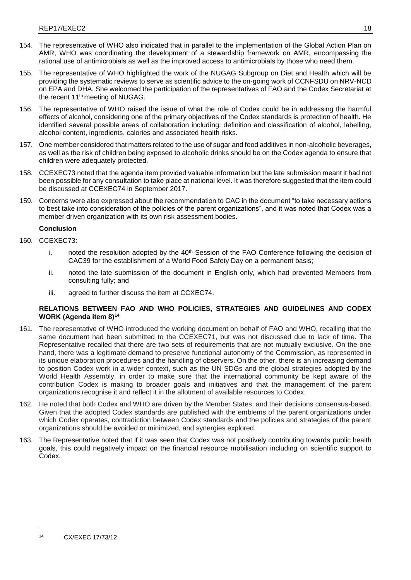- 154. The representative of WHO also indicated that in parallel to the implementation of the Global Action Plan on AMR, WHO was coordinating the development of a stewardship framework on AMR, encompassing the rational use of antimicrobials as well as the improved access to antimicrobials by those who need them.
- 155. The representative of WHO highlighted the work of the NUGAG Subgroup on Diet and Health which will be providing the systematic reviews to serve as scientific advice to the on-going work of CCNFSDU on NRV-NCD on EPA and DHA. She welcomed the participation of the representatives of FAO and the Codex Secretariat at the recent 11th meeting of NUGAG.
- 156. The representative of WHO raised the issue of what the role of Codex could be in addressing the harmful effects of alcohol, considering one of the primary objectives of the Codex standards is protection of health. He identified several possible areas of collaboration including: definition and classification of alcohol, labelling, alcohol content, ingredients, calories and associated health risks.
- 157. One member considered that matters related to the use of sugar and food additives in non-alcoholic beverages, as well as the risk of children being exposed to alcoholic drinks should be on the Codex agenda to ensure that children were adequately protected.
- 158. CCEXEC73 noted that the agenda item provided valuable information but the late submission meant it had not been possible for any consultation to take place at national level. It was therefore suggested that the item could be discussed at CCEXEC74 in September 2017.
- 159. Concerns were also expressed about the recommendation to CAC in the document "to take necessary actions to best take into consideration of the policies of the parent organizations", and it was noted that Codex was a member driven organization with its own risk assessment bodies.

- 160. CCEXEC73:
	- i. noted the resolution adopted by the 40<sup>th</sup> Session of the FAO Conference following the decision of CAC39 for the establishment of a World Food Safety Day on a permanent basis;
	- ii. noted the late submission of the document in English only, which had prevented Members from consulting fully; and
	- iii. agreed to further discuss the item at CCXEC74.

## **RELATIONS BETWEEN FAO AND WHO POLICIES, STRATEGIES AND GUIDELINES AND CODEX WORK (Agenda item 8)<sup>14</sup>**

- 161. The representative of WHO introduced the working document on behalf of FAO and WHO, recalling that the same document had been submitted to the CCEXEC71, but was not discussed due to lack of time. The Representative recalled that there are two sets of requirements that are not mutually exclusive. On the one hand, there was a legitimate demand to preserve functional autonomy of the Commission, as represented in its unique elaboration procedures and the handling of observers. On the other, there is an increasing demand to position Codex work in a wider context, such as the UN SDGs and the global strategies adopted by the World Health Assembly, in order to make sure that the international community be kept aware of the contribution Codex is making to broader goals and initiatives and that the management of the parent organizations recognise it and reflect it in the allotment of available resources to Codex.
- 162. He noted that both Codex and WHO are driven by the Member States, and their decisions consensus-based. Given that the adopted Codex standards are published with the emblems of the parent organizations under which Codex operates, contradiction between Codex standards and the policies and strategies of the parent organizations should be avoided or minimized, and synergies explored.
- 163. The Representative noted that if it was seen that Codex was not positively contributing towards public health goals, this could negatively impact on the financial resource mobilisation including on scientific support to Codex.

<sup>14</sup> CX/EXEC 17/73/12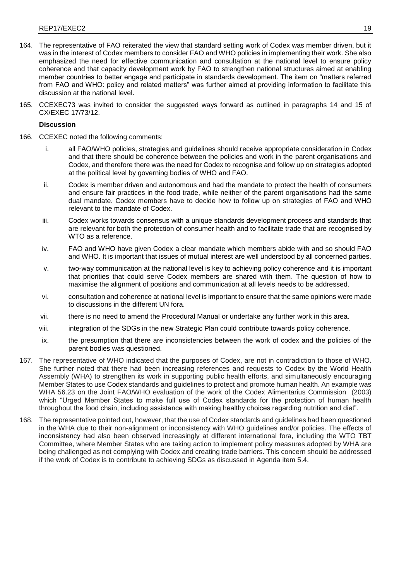- 164. The representative of FAO reiterated the view that standard setting work of Codex was member driven, but it was in the interest of Codex members to consider FAO and WHO policies in implementing their work. She also emphasized the need for effective communication and consultation at the national level to ensure policy coherence and that capacity development work by FAO to strengthen national structures aimed at enabling member countries to better engage and participate in standards development. The item on "matters referred from FAO and WHO: policy and related matters" was further aimed at providing information to facilitate this discussion at the national level.
- 165. CCEXEC73 was invited to consider the suggested ways forward as outlined in paragraphs 14 and 15 of CX/EXEC 17/73/12.

### **Discussion**

- 166. CCEXEC noted the following comments:
	- i. all FAO/WHO policies, strategies and guidelines should receive appropriate consideration in Codex and that there should be coherence between the policies and work in the parent organisations and Codex, and therefore there was the need for Codex to recognise and follow up on strategies adopted at the political level by governing bodies of WHO and FAO.
	- ii. Codex is member driven and autonomous and had the mandate to protect the health of consumers and ensure fair practices in the food trade, while neither of the parent organisations had the same dual mandate. Codex members have to decide how to follow up on strategies of FAO and WHO relevant to the mandate of Codex.
	- iii. Codex works towards consensus with a unique standards development process and standards that are relevant for both the protection of consumer health and to facilitate trade that are recognised by WTO as a reference.
	- iv. FAO and WHO have given Codex a clear mandate which members abide with and so should FAO and WHO. It is important that issues of mutual interest are well understood by all concerned parties.
	- v. two-way communication at the national level is key to achieving policy coherence and it is important that priorities that could serve Codex members are shared with them. The question of how to maximise the alignment of positions and communication at all levels needs to be addressed.
	- vi. consultation and coherence at national level is important to ensure that the same opinions were made to discussions in the different UN fora.
	- vii. there is no need to amend the Procedural Manual or undertake any further work in this area.
	- viii. integration of the SDGs in the new Strategic Plan could contribute towards policy coherence.
	- ix. the presumption that there are inconsistencies between the work of codex and the policies of the parent bodies was questioned.
- 167. The representative of WHO indicated that the purposes of Codex, are not in contradiction to those of WHO. She further noted that there had been increasing references and requests to Codex by the World Health Assembly (WHA) to strengthen its work in supporting public health efforts, and simultaneously encouraging Member States to use Codex standards and guidelines to protect and promote human health. An example was WHA 56.23 on the Joint FAO/WHO evaluation of the work of the Codex Alimentarius Commission (2003) which "Urged Member States to make full use of Codex standards for the protection of human health throughout the food chain, including assistance with making healthy choices regarding nutrition and diet".
- 168. The representative pointed out, however, that the use of Codex standards and guidelines had been questioned in the WHA due to their non-alignment or inconsistency with WHO guidelines and/or policies. The effects of inconsistency had also been observed increasingly at different international fora, including the WTO TBT Committee, where Member States who are taking action to implement policy measures adopted by WHA are being challenged as not complying with Codex and creating trade barriers. This concern should be addressed if the work of Codex is to contribute to achieving SDGs as discussed in Agenda item 5.4.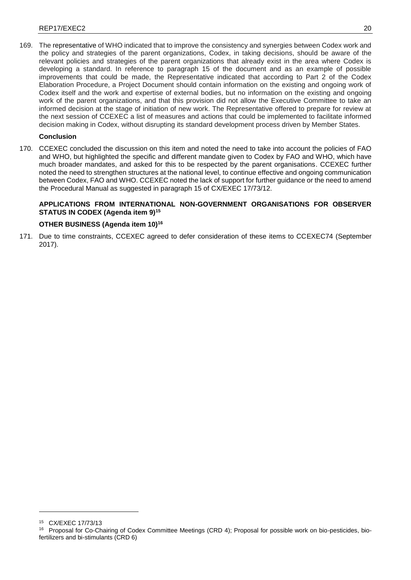169. The representative of WHO indicated that to improve the consistency and synergies between Codex work and the policy and strategies of the parent organizations, Codex, in taking decisions, should be aware of the relevant policies and strategies of the parent organizations that already exist in the area where Codex is developing a standard. In reference to paragraph 15 of the document and as an example of possible improvements that could be made, the Representative indicated that according to Part 2 of the Codex Elaboration Procedure, a Project Document should contain information on the existing and ongoing work of Codex itself and the work and expertise of external bodies, but no information on the existing and ongoing work of the parent organizations, and that this provision did not allow the Executive Committee to take an informed decision at the stage of initiation of new work. The Representative offered to prepare for review at the next session of CCEXEC a list of measures and actions that could be implemented to facilitate informed decision making in Codex, without disrupting its standard development process driven by Member States.

# **Conclusion**

170. CCEXEC concluded the discussion on this item and noted the need to take into account the policies of FAO and WHO, but highlighted the specific and different mandate given to Codex by FAO and WHO, which have much broader mandates, and asked for this to be respected by the parent organisations. CCEXEC further noted the need to strengthen structures at the national level, to continue effective and ongoing communication between Codex, FAO and WHO. CCEXEC noted the lack of support for further guidance or the need to amend the Procedural Manual as suggested in paragraph 15 of CX/EXEC 17/73/12.

## **APPLICATIONS FROM INTERNATIONAL NON-GOVERNMENT ORGANISATIONS FOR OBSERVER STATUS IN CODEX (Agenda item 9)<sup>15</sup>**

## **OTHER BUSINESS (Agenda item 10)<sup>16</sup>**

171. Due to time constraints, CCEXEC agreed to defer consideration of these items to CCEXEC74 (September 2017).

<sup>15</sup> CX/EXEC 17/73/13

<sup>16</sup> Proposal for Co-Chairing of Codex Committee Meetings (CRD 4); Proposal for possible work on bio-pesticides, biofertilizers and bi-stimulants (CRD 6)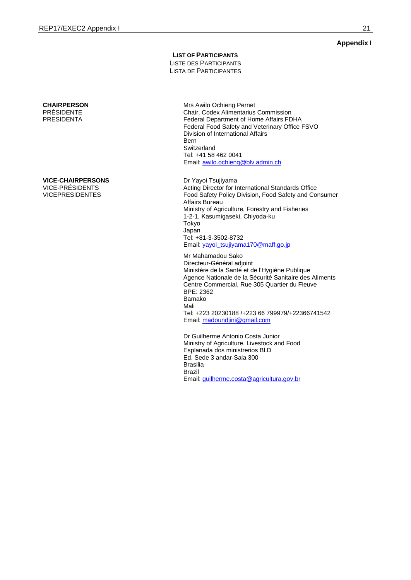## **LIST OF PARTICIPANTS**

LISTE DES PARTICIPANTS LISTA DE PARTICIPANTES

**CHAIRPERSON** PRÉSIDENTE PRESIDENTA

**VICE-CHAIRPERSONS**

VICE-PRÉSIDENTS VICEPRESIDENTES Mrs Awilo Ochieng Pernet Chair, Codex Alimentarius Commission Federal Department of Home Affairs FDHA Federal Food Safety and Veterinary Office FSVO Division of International Affairs Bern **Switzerland** Tel: +41 58 462 0041 Email[: awilo.ochieng@blv.admin.ch](mailto:awilo.ochieng@blv.admin.ch)

Dr Yayoi Tsujiyama Acting Director for International Standards Office Food Safety Policy Division, Food Safety and Consumer Affairs Bureau Ministry of Agriculture, Forestry and Fisheries 1-2-1, Kasumigaseki, Chiyoda-ku Tokyo Japan Tel: +81-3-3502-8732 Email[: yayoi\\_tsujiyama170@maff.go.jp](mailto:yayoi_tsujiyama170@maff.go.jp)

Mr Mahamadou Sako Directeur-Général adjoint Ministère de la Santé et de l'Hygiène Publique Agence Nationale de la Sécurité Sanitaire des Aliments Centre Commercial, Rue 305 Quartier du Fleuve BPE: 2362 Bamako Mali Tel: +223 20230188 /+223 66 799979/+22366741542 Email: madoundjini@gmail.com

Dr Guilherme Antonio Costa Junior Ministry of Agriculture, Livestock and Food Esplanada dos ministrerios Bl.D Ed. Sede 3 andar-Sala 300 Brasilia Brazil Email[: guilherme.costa@agricultura.gov.br](mailto:guilherme.costa@agricultura.gov.br)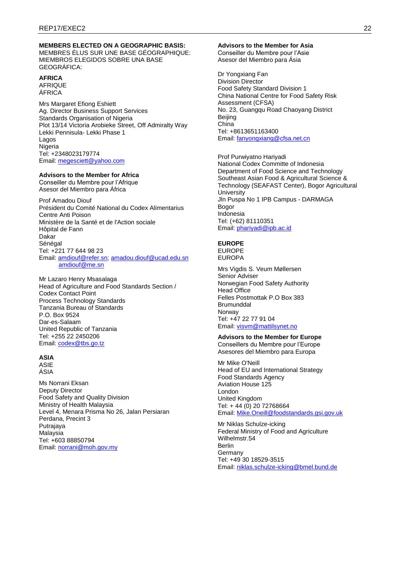# **MEMBERS ELECTED ON A GEOGRAPHIC BASIS:**

MEMBRES ÉLUS SUR UNE BASE GÉOGRAPHIQUE: MIEMBROS ELEGIDOS SOBRE UNA BASE GEOGRÁFICA:

# **AFRICA**

AFRIQUE ÁFRICA

Mrs Margaret Efiong Eshiett Ag. Director Business Support Services Standards Organisation of Nigeria Plot 13/14 Victoria Arobieke Street, Off Admiralty Way Lekki Pennisula- Lekki Phase 1 Lagos Nigeria Tel: +2348023179774 Email: [megesciett@yahoo.com](mailto:megesciett@yahoo.com)

### **Advisors to the Member for Africa**

Conseiller du Membre pour l'Afrique Asesor del Miembro para África

Prof Amadou Diouf Président du Comité National du Codex Alimentarius Centre Anti Poison Ministère de la Santé et de l'Action sociale Hôpital de Fann Dakar Sénégal Tel: +221 77 644 98 23 Email: [amdiouf@refer.sn;](mailto:amdiouf@refer.sn) [amadou.diouf@ucad.edu.sn](mailto:amadou.diouf@ucad.edu.sn) [amdiouf@me.sn](mailto:amdiouf@me.sn)

Mr Lazaro Henry Msasalaga Head of Agriculture and Food Standards Section / Codex Contact Point Process Technology Standards Tanzania Bureau of Standards P.O. Box 9524 Dar-es-Salaam United Republic of Tanzania Tel: +255 22 2450206 Email: [codex@tbs.go.tz](mailto:codex@tbs.go.tz)

## **ASIA**

ASIE ÁSIA

Ms Norrani Eksan Deputy Director Food Safety and Quality Division Ministry of Health Malaysia Level 4, Menara Prisma No 26, Jalan Persiaran Perdana, Precint 3 Putrajaya Malaysia Tel: +603 88850794 Email: [norrani@moh.gov.my](mailto:norrani@moh.gov.my)

#### **Advisors to the Member for Asia**

Conseiller du Membre pour l'Asie Asesor del Miembro para Ásia

Dr Yongxiang Fan Division Director Food Safety Standard Division 1 China National Centre for Food Safety Risk Assessment (CFSA) No. 23, Guangqu Road Chaoyang District Beijing China Tel: +8613651163400 Email: [fanyongxiang@cfsa.net.cn](mailto:fanyongxiang@cfsa.net.cn)

Prof Purwiyatno Hariyadi National Codex Committe of Indonesia Department of Food Science and Technology Southeast Asian Food & Agricultural Science & Technology (SEAFAST Center), Bogor Agricultural **University** Jln Puspa No 1 IPB Campus - DARMAGA Bogor Indonesia Tel: (+62) 81110351 Email: [phariyadi@ipb.ac.id](mailto:phariyadi@ipb.ac.id)

# **EUROPE**

EUROPE EUROPA

Mrs Vigdis S. Veum Møllersen Senior Adviser Norwegian Food Safety Authority Head Office Felles Postmottak P.O Box 383 Brumunddal Norway Tel: +47 22 77 91 04 Email: [visvm@mattilsynet.no](mailto:visvm@mattilsynet.no)

# **Advisors to the Member for Europe**

Conseillers du Membre pour l'Europe Asesores del Miembro para Europa

Mr Mike O'Neill Head of EU and International Strategy Food Standards Agency Aviation House 125 London United Kingdom Tel: + 44 (0) 20 72768664 Email: [Mike.Oneill@foodstandards.gsi.gov.uk](mailto:Mike.Oneill@foodstandards.gsi.gov.uk)

Mr Niklas Schulze-icking Federal Ministry of Food and Agriculture Wilhelmstr.54 Berlin Germany Tel: +49 30 18529-3515 Email: [niklas.schulze-icking@bmel.bund.de](mailto:niklas.schulze-icking@bmel.bund.de)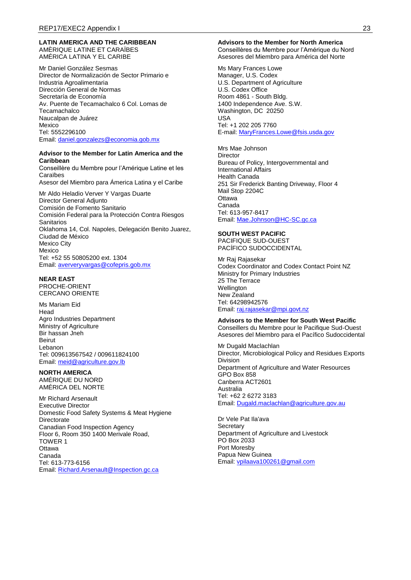#### **LATIN AMERICA AND THE CARIBBEAN** AMÈRIQUE LATINE ET CARAÏBES AMÉRICA LATINA Y EL CARIBE

Mr Daniel González Sesmas Director de Normalización de Sector Primario e Industria Agroalimentaria Dirección General de Normas Secretaría de Economía Av. Puente de Tecamachalco 6 Col. Lomas de **Tecamachalco** Naucalpan de Juárez Mexico Tel: 5552296100 Email: [daniel.gonzalezs@economia.gob.mx](mailto:daniel.gonzalezs@economia.gob.mx)

#### **Advisor to the Member for Latin America and the Caribbean**

Conseillère du Membre pour l'Amérique Latine et les Caraïbes

Asesor del Miembro para Ámerica Latina y el Caribe

Mr Aldo Heladio Verver Y Vargas Duarte Director General Adjunto Comisión de Fomento Sanitario Comisión Federal para la Protección Contra Riesgos Sanitarios Oklahoma 14, Col. Napoles, Delegación Benito Juarez, Ciudad de México Mexico City Mexico Tel: +52 55 50805200 ext. 1304 Email: [aververyvargas@cofepris.gob.mx](mailto:aververyvargas@cofepris.gob.mx) 

#### **NEAR EAST**

PROCHE-ORIENT CERCANO ORIENTE

Ms Mariam Eid **Head** Agro Industries Department Ministry of Agriculture Bir hassan Jneh Beirut Lebanon Tel: 009613567542 / 009611824100 Email: [meid@agriculture.gov.lb](mailto:meid@agriculture.gov.lb)

### **NORTH AMERICA**

AMÉRIQUE DU NORD AMÉRICA DEL NORTE

Mr Richard Arsenault Executive Director Domestic Food Safety Systems & Meat Hygiene **Directorate** Canadian Food Inspection Agency Floor 6, Room 350 1400 Merivale Road, TOWER 1 **Ottawa** Canada Tel: 613-773-6156 Email: [Richard.Arsenault@Inspection.gc.ca](mailto:Richard.Arsenault@Inspection.gc.ca)

#### **Advisors to the Member for North America**

Conseillères du Membre pour l'Amérique du Nord Asesores del Miembro para América del Norte

Ms Mary Frances Lowe Manager, U.S. Codex U.S. Department of Agriculture U.S. Codex Office Room 4861 - South Bldg. 1400 Independence Ave. S.W. Washington, DC 20250 USA Tel: +1 202 205 7760 E-mail: [MaryFrances.Lowe@fsis.usda.gov](mailto:MaryFrances.Lowe@fsis.usda.gov)

Mrs Mae Johnson Director Bureau of Policy, Intergovernmental and International Affairs Health Canada 251 Sir Frederick Banting Driveway, Floor 4 Mail Stop 2204C **Ottawa** Canada Tel: 613-957-8417 Email: [Mae.Johnson@HC-SC.gc.ca](mailto:Mae.Johnson@HC-SC.gc.ca)

#### **SOUTH WEST PACIFIC**

PACIFIQUE SUD-OUEST PACÍFICO SUDOCCIDENTAL

Mr Raj Rajasekar Codex Coordinator and Codex Contact Point NZ Ministry for Primary Industries 25 The Terrace **Wellington** New Zealand Tel: 64298942576 Email: [raj.rajasekar@mpi.govt.nz](mailto:raj.rajasekar@mpi.govt.nz)

#### **Advisors to the Member for South West Pacific**

Conseillers du Membre pour le Pacifique Sud-Ouest Asesores del Miembro para el Pacífico Sudoccidental

Mr Dugald Maclachlan Director, Microbiological Policy and Residues Exports Division Department of Agriculture and Water Resources GPO Box 858 Canberra ACT2601 Australia Tel: +62 2 6272 3183 Email: [Dugald.maclachlan@agriculture.gov.au](mailto:Dugald.maclachlan@agriculture.gov.au)

Dr Vele Pat Ila'ava **Secretary** Department of Agriculture and Livestock PO Box 2033 Port Moresby Papua New Guinea Email: [vpilaava100261@gmail.com](mailto:vpilaava100261@gmail.com)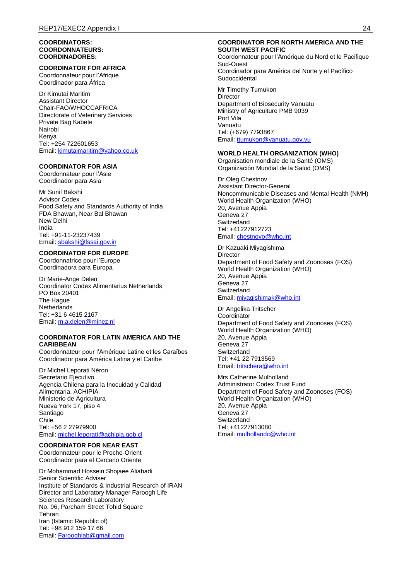#### **COORDINATORS: COORDONNATEURS: COORDINADORES:**

### **COORDINATOR FOR AFRICA**

Coordonnateur pour l'Afrique Coordinador para África

Dr Kimutai Maritim Assistant Director Chair-FAO/WHOCCAFRICA Directorate of Veterinary Services Private Bag Kabete Nairobi Kenya Tel: +254 722601653 Email: [kimutaimaritim@yahoo.co.uk](mailto:kimutaimaritim@yahoo.co.uk)

### **COORDINATOR FOR ASIA**

Coordonnateur pour l'Asie Coordinador para Asia

Mr Sunil Bakshi Advisor Codex Food Safety and Standards Authority of India FDA Bhawan, Near Bal Bhawan New Delhi India Tel: +91-11-23237439 Email: [sbakshi@fssai.gov.in](mailto:sbakshi@fssai.gov.in)

## **COORDINATOR FOR EUROPE**

Coordonnatrice pour l'Europe Coordinadora para Europa

Dr Marie-Ange Delen Coordinator Codex Alimentarius Netherlands PO Box 20401 The Hague **Netherlands** Tel: +31 6 4615 2167 Email: [m.a.delen@minez.nl](mailto:m.a.delen@minez.nl)

## **COORDINATOR FOR LATIN AMERICA AND THE CARIBBEAN**

Coordonnateur pour l'Amérique Latine et les Caraïbes Coordinador para América Latina y el Caribe

Dr Michel Leporati Néron Secretario Ejecutivo Agencia Chilena para la Inocuidad y Calidad Alimentaria, ACHIPIA Ministerio de Agricultura Nueva York 17, piso 4 Santiago Chile Tel: +56 2 27979900 Email: [michel.leporati@achipia.gob.cl](mailto:michel.leporati@achipia.gob.cl)

#### **COORDINATOR FOR NEAR EAST**

Coordonnateur pour le Proche-Orient Coordinador para el Cercano Oriente

Dr Mohammad Hossein Shojaee Aliabadi Senior Scientific Adviser Institute of Standards & Industrial Research of IRAN Director and Laboratory Manager Faroogh Life Sciences Research Laboratory No. 96, Parcham Street Tohid Square Tehran Iran (Islamic Republic of) Tel: +98 912 159 17 66 Email: [Farooghlab@gmail.com](mailto:Farooghlab@gmail.com)

#### **COORDINATOR FOR NORTH AMERICA AND THE SOUTH WEST PACIFIC**

Coordonnateur pour l'Amérique du Nord et le Pacifique Sud-Ouest Coordinador para América del Norte y el Pacífico Sudoccidental

Mr Timothy Tumukon **Director** Department of Biosecurity Vanuatu Ministry of Agriculture PMB 9039 Port Vila Vanuatu Tel: (+679) 7793867 Email: [ttumukon@vanuatu.gov.vu](mailto:ttumukon@vanuatu.gov.vu)

### **WORLD HEALTH ORGANIZATION (WHO)**

Organisation mondiale de la Santé (OMS) Organización Mundial de la Salud (OMS)

Dr Oleg Chestnov Assistant Director-General Noncommunicable Diseases and Mental Health (NMH) World Health Organization (WHO) 20, Avenue Appia Geneva 27 Switzerland Tel: +41227912723 Email: [chestnovo@who.int](mailto:chestnovo@who.int)

Dr Kazuaki Miyagishima **Director** Department of Food Safety and Zoonoses (FOS) World Health Organization (WHO) 20, Avenue Appia Geneva 27 Switzerland Email: [miyagishimak@who.int](mailto:miyagishimak@who.int)

Dr Angelika Tritscher Coordinator Department of Food Safety and Zoonoses (FOS) World Health Organization (WHO) 20, Avenue Appia Geneva 27 **Switzerland** Tel: +41 22 7913569 Email: [tritschera@who.int](mailto:tritschera@who.int)

Mrs Catherine Mulholland Administrator Codex Trust Fund Department of Food Safety and Zoonoses (FOS) World Health Organization (WHO) 20, Avenue Appia Geneva 27 **Switzerland** Tel: +41227913080 Email: [mulhollandc@who.int](mailto:mulhollandc@who.int)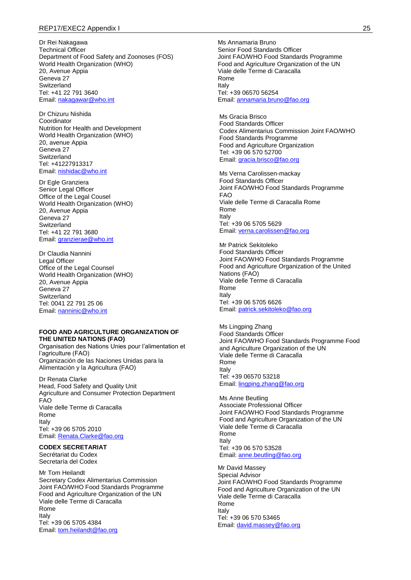#### REP17/EXEC2 Appendix I 25

Dr Rei Nakagawa Technical Officer Department of Food Safety and Zoonoses (FOS) World Health Organization (WHO) 20, Avenue Appia Geneva 27 **Switzerland** Tel: +41 22 791 3640 Email: [nakagawar@who.int](mailto:nakagawar@who.int)

Dr Chizuru Nishida Coordinator Nutrition for Health and Development World Health Organization (WHO) 20, avenue Appia Geneva 27 **Switzerland** Tel: +41227913317 Email: [nishidac@who.int](mailto:nishidac@who.int)

Dr Egle Granziera Senior Legal Officer Office of the Legal Cousel World Health Organization (WHO) 20, Avenue Appia Geneva 27 Switzerland Tel: +41 22 791 3680 Email: [granzierae@who.int](mailto:granzierae@who.int)

Dr Claudia Nannini Legal Officer Office of the Legal Counsel World Health Organization (WHO) 20, Avenue Appia Geneva 27 **Switzerland** Tel: 0041 22 791 25 06 Email: [nanninic@who.int](mailto:nanninic@who.int)

#### **FOOD AND AGRICULTURE ORGANIZATION OF THE UNITED NATIONS (FAO)**

Organisation des Nations Unies pour l'alimentation et l'agriculture (FAO) Organización de las Naciones Unidas para la Alimentación y la Agricultura (FAO)

Dr Renata Clarke Head, Food Safety and Quality Unit Agriculture and Consumer Protection Department FAO Viale delle Terme di Caracalla Rome Italy Tel: +39 06 5705 2010 Email: [Renata.Clarke@fao.org](mailto:Renata.Clarke@fao.org)

# **CODEX SECRETARIAT**

Secrétariat du Codex Secretaría del Codex

Mr Tom Heilandt Secretary Codex Alimentarius Commission Joint FAO/WHO Food Standards Programme Food and Agriculture Organization of the UN Viale delle Terme di Caracalla Rome Italy Tel: +39 06 5705 4384 Email: [tom.heilandt@fao.org](mailto:tom.heilandt@fao.org)

Ms Annamaria Bruno Senior Food Standards Officer Joint FAO/WHO Food Standards Programme Food and Agriculture Organization of the UN Viale delle Terme di Caracalla Rome Italy Tel: +39 06570 56254 Email: [annamaria.bruno@fao.org](mailto:annamaria.bruno@fao.org)

Ms Gracia Brisco Food Standards Officer Codex Alimentarius Commission Joint FAO/WHO Food Standards Programme Food and Agriculture Organization Tel: +39 06 570 52700 Email[: gracia.brisco@fao.org](mailto:gracia.brisco@fao.org)

Ms Verna Carolissen-mackay Food Standards Officer Joint FAO/WHO Food Standards Programme FAO Viale delle Terme di Caracalla Rome Rome Italy Tel: +39 06 5705 5629 Email[: verna.carolissen@fao.org](mailto:verna.carolissen@fao.org)

Mr Patrick Sekitoleko Food Standards Officer Joint FAO/WHO Food Standards Programme Food and Agriculture Organization of the United Nations (FAO) Viale delle Terme di Caracalla Rome Italy Tel: +39 06 5705 6626 Email[: patrick.sekitoleko@fao.org](mailto:patrick.sekitoleko@fao.org)

Ms Lingping Zhang Food Standards Officer Joint FAO/WHO Food Standards Programme Food and Agriculture Organization of the UN Viale delle Terme di Caracalla Rome Italy Tel: +39 06570 53218 Email[: lingping.zhang@fao.org](mailto:lingping.zhang@fao.org)

Ms Anne Beutling Associate Professional Officer Joint FAO/WHO Food Standards Programme Food and Agriculture Organization of the UN Viale delle Terme di Caracalla Rome Italy Tel: +39 06 570 53528 Email[: anne.beutling@fao.org](mailto:anne.beutling@fao.org)

Mr David Massey Special Advisor Joint FAO/WHO Food Standards Programme Food and Agriculture Organization of the UN Viale delle Terme di Caracalla Rome Italy Tel: +39 06 570 53465 Email: [david.massey@fao.org](mailto:david.massey@fao.org)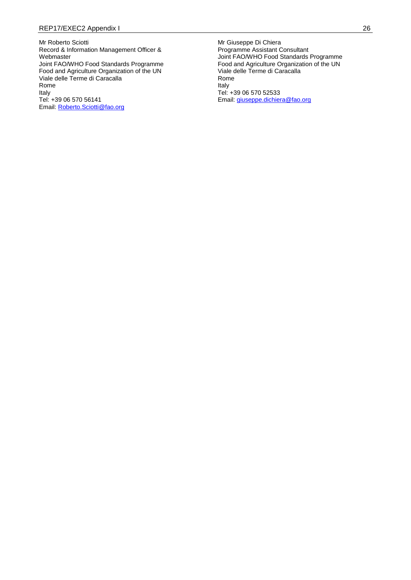Mr Roberto Sciotti Record & Information Management Officer & Webmaster Joint FAO/WHO Food Standards Programme Food and Agriculture Organization of the UN Viale delle Terme di Caracalla Rome Italy Tel: +39 06 570 56141 Email: [Roberto.Sciotti@fao.org](mailto:Roberto.Sciotti@fao.org) 

Mr Giuseppe Di Chiera Programme Assistant Consultant Joint FAO/WHO Food Standards Programme Food and Agriculture Organization of the UN Viale delle Terme di Caracalla Rome Italy Tel: +39 06 570 52533 Email: [giuseppe.dichiera@fao.org](mailto:giuseppe.dichiera@fao.org)